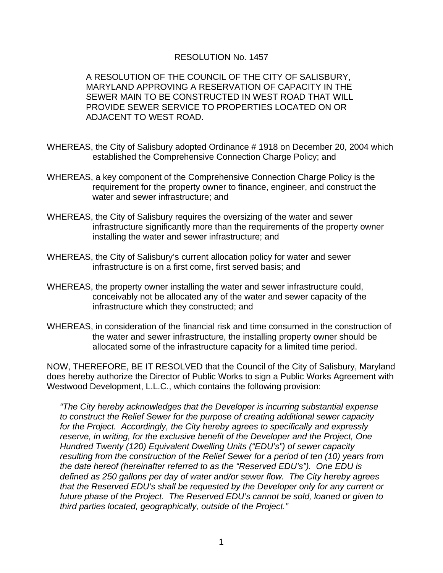## RESOLUTION No. 1457

A RESOLUTION OF THE COUNCIL OF THE CITY OF SALISBURY, MARYLAND APPROVING A RESERVATION OF CAPACITY IN THE SEWER MAIN TO BE CONSTRUCTED IN WEST ROAD THAT WILL PROVIDE SEWER SERVICE TO PROPERTIES LOCATED ON OR ADJACENT TO WEST ROAD.

- WHEREAS, the City of Salisbury adopted Ordinance # 1918 on December 20, 2004 which established the Comprehensive Connection Charge Policy; and
- WHEREAS, a key component of the Comprehensive Connection Charge Policy is the requirement for the property owner to finance, engineer, and construct the water and sewer infrastructure; and
- WHEREAS, the City of Salisbury requires the oversizing of the water and sewer infrastructure significantly more than the requirements of the property owner installing the water and sewer infrastructure; and
- WHEREAS, the City of Salisbury's current allocation policy for water and sewer infrastructure is on a first come, first served basis; and
- WHEREAS, the property owner installing the water and sewer infrastructure could, conceivably not be allocated any of the water and sewer capacity of the infrastructure which they constructed; and
- WHEREAS, in consideration of the financial risk and time consumed in the construction of the water and sewer infrastructure, the installing property owner should be allocated some of the infrastructure capacity for a limited time period.

NOW, THEREFORE, BE IT RESOLVED that the Council of the City of Salisbury, Maryland does hereby authorize the Director of Public Works to sign a Public Works Agreement with Westwood Development, L.L.C., which contains the following provision:

*"The City hereby acknowledges that the Developer is incurring substantial expense to construct the Relief Sewer for the purpose of creating additional sewer capacity for the Project. Accordingly, the City hereby agrees to specifically and expressly reserve, in writing, for the exclusive benefit of the Developer and the Project, One Hundred Twenty (120) Equivalent Dwelling Units ("EDU's") of sewer capacity resulting from the construction of the Relief Sewer for a period of ten (10) years from the date hereof (hereinafter referred to as the "Reserved EDU's"). One EDU is defined as 250 gallons per day of water and/or sewer flow. The City hereby agrees that the Reserved EDU's shall be requested by the Developer only for any current or future phase of the Project. The Reserved EDU's cannot be sold, loaned or given to third parties located, geographically, outside of the Project."*